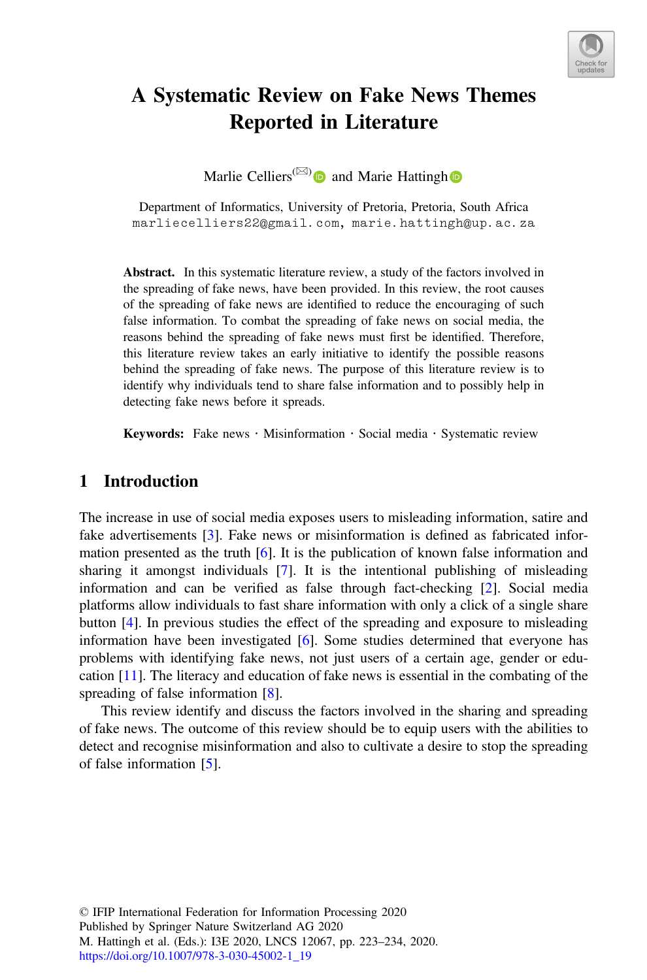

# A Systematic Review on Fake News Themes Reported in Literature

Marlie Celliers<sup>( $\boxtimes$ )</sup> and Marie Hattingh **D** 

Department of Informatics, University of Pretoria, Pretoria, South Africa  $\frac{2}{3}$  and  $\frac{2}{3}$  and  $\frac{2}{3}$  and  $\frac{2}{3}$  and  $\frac{2}{3}$  and  $\frac{2}{3}$  and  $\frac{2}{3}$  and  $\frac{2}{3}$  and  $\frac{2}{3}$  and  $\frac{2}{3}$  and  $\frac{2}{3}$  and  $\frac{2}{3}$  and  $\frac{2}{3}$  and  $\frac{2}{3}$  and  $\frac{2}{3}$  and  $\frac{2}{3}$  a

Abstract. In this systematic literature review, a study of the factors involved in the spreading of fake news, have been provided. In this review, the root causes of the spreading of fake news are identified to reduce the encouraging of such false information. To combat the spreading of fake news on social media, the reasons behind the spreading of fake news must first be identified. Therefore, this literature review takes an early initiative to identify the possible reasons behind the spreading of fake news. The purpose of this literature review is to identify why individuals tend to share false information and to possibly help in detecting fake news before it spreads.

Keywords: Fake news  $\cdot$  Misinformation  $\cdot$  Social media  $\cdot$  Systematic review

# 1 Introduction

The increase in use of social media exposes users to misleading information, satire and fake advertisements [[3\]](#page-9-0). Fake news or misinformation is defined as fabricated information presented as the truth [[6\]](#page-9-0). It is the publication of known false information and sharing it amongst individuals [[7\]](#page-9-0). It is the intentional publishing of misleading information and can be verified as false through fact-checking [[2\]](#page-9-0). Social media platforms allow individuals to fast share information with only a click of a single share button [[4\]](#page-9-0). In previous studies the effect of the spreading and exposure to misleading information have been investigated [\[6](#page-9-0)]. Some studies determined that everyone has problems with identifying fake news, not just users of a certain age, gender or education [[11\]](#page-10-0). The literacy and education of fake news is essential in the combating of the spreading of false information [[8\]](#page-9-0).

This review identify and discuss the factors involved in the sharing and spreading of fake news. The outcome of this review should be to equip users with the abilities to detect and recognise misinformation and also to cultivate a desire to stop the spreading of false information [[5\]](#page-9-0).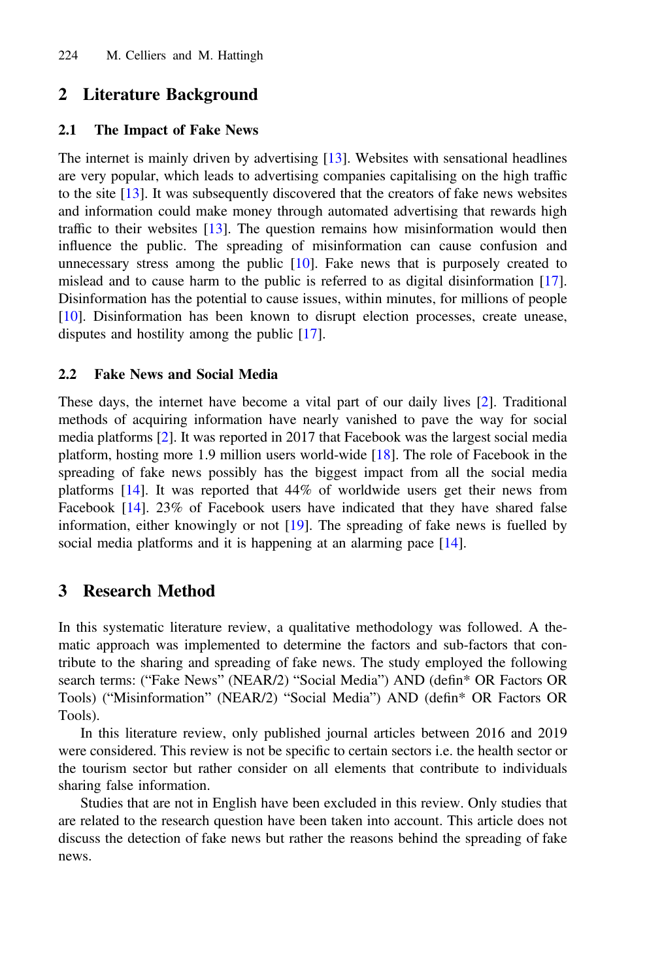# 2 Literature Background

#### 2.1 The Impact of Fake News

The internet is mainly driven by advertising [[13\]](#page-10-0). Websites with sensational headlines are very popular, which leads to advertising companies capitalising on the high traffic to the site [\[13](#page-10-0)]. It was subsequently discovered that the creators of fake news websites and information could make money through automated advertising that rewards high traffic to their websites [[13](#page-10-0)]. The question remains how misinformation would then influence the public. The spreading of misinformation can cause confusion and unnecessary stress among the public  $[10]$  $[10]$ . Fake news that is purposely created to mislead and to cause harm to the public is referred to as digital disinformation [[17\]](#page-10-0). Disinformation has the potential to cause issues, within minutes, for millions of people [[10\]](#page-10-0). Disinformation has been known to disrupt election processes, create unease, disputes and hostility among the public [[17\]](#page-10-0).

### 2.2 Fake News and Social Media

These days, the internet have become a vital part of our daily lives [\[2](#page-9-0)]. Traditional methods of acquiring information have nearly vanished to pave the way for social media platforms [[2\]](#page-9-0). It was reported in 2017 that Facebook was the largest social media platform, hosting more 1.9 million users world-wide [[18](#page-10-0)]. The role of Facebook in the spreading of fake news possibly has the biggest impact from all the social media platforms [\[14](#page-10-0)]. It was reported that 44% of worldwide users get their news from Facebook [[14\]](#page-10-0). 23% of Facebook users have indicated that they have shared false information, either knowingly or not [[19\]](#page-10-0). The spreading of fake news is fuelled by social media platforms and it is happening at an alarming pace [[14\]](#page-10-0).

# 3 Research Method

In this systematic literature review, a qualitative methodology was followed. A thematic approach was implemented to determine the factors and sub-factors that contribute to the sharing and spreading of fake news. The study employed the following search terms: ("Fake News" (NEAR/2) "Social Media") AND (defin\* OR Factors OR Tools) ("Misinformation" (NEAR/2) "Social Media") AND (defin\* OR Factors OR Tools).

In this literature review, only published journal articles between 2016 and 2019 were considered. This review is not be specific to certain sectors i.e. the health sector or the tourism sector but rather consider on all elements that contribute to individuals sharing false information.

Studies that are not in English have been excluded in this review. Only studies that are related to the research question have been taken into account. This article does not discuss the detection of fake news but rather the reasons behind the spreading of fake news.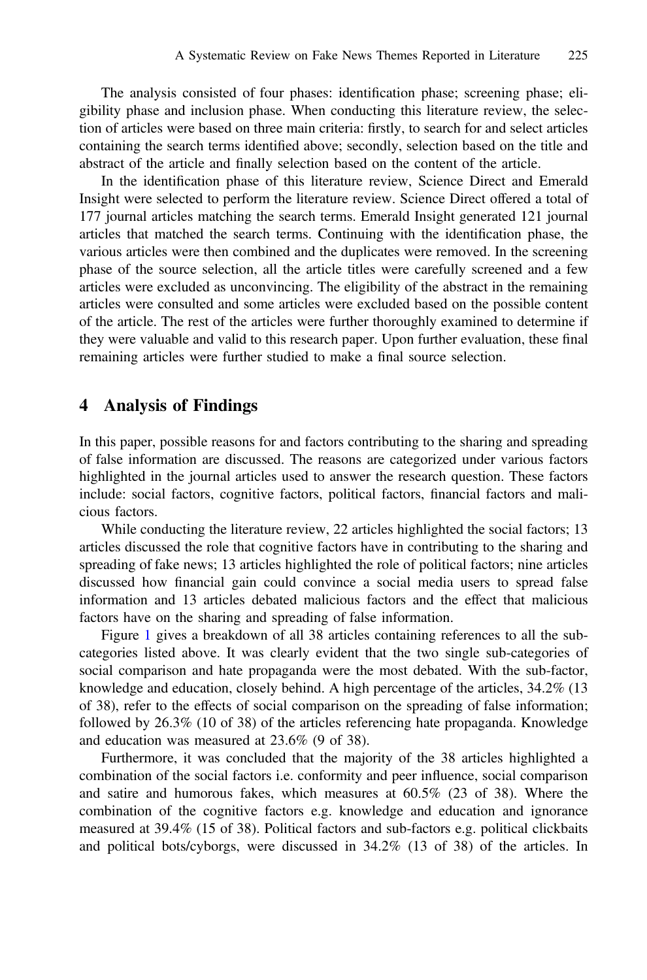The analysis consisted of four phases: identification phase; screening phase; eligibility phase and inclusion phase. When conducting this literature review, the selection of articles were based on three main criteria: firstly, to search for and select articles containing the search terms identified above; secondly, selection based on the title and abstract of the article and finally selection based on the content of the article.

In the identification phase of this literature review, Science Direct and Emerald Insight were selected to perform the literature review. Science Direct offered a total of 177 journal articles matching the search terms. Emerald Insight generated 121 journal articles that matched the search terms. Continuing with the identification phase, the various articles were then combined and the duplicates were removed. In the screening phase of the source selection, all the article titles were carefully screened and a few articles were excluded as unconvincing. The eligibility of the abstract in the remaining articles were consulted and some articles were excluded based on the possible content of the article. The rest of the articles were further thoroughly examined to determine if they were valuable and valid to this research paper. Upon further evaluation, these final remaining articles were further studied to make a final source selection.

### 4 Analysis of Findings

In this paper, possible reasons for and factors contributing to the sharing and spreading of false information are discussed. The reasons are categorized under various factors highlighted in the journal articles used to answer the research question. These factors include: social factors, cognitive factors, political factors, financial factors and malicious factors.

While conducting the literature review, 22 articles highlighted the social factors; 13 articles discussed the role that cognitive factors have in contributing to the sharing and spreading of fake news; 13 articles highlighted the role of political factors; nine articles discussed how financial gain could convince a social media users to spread false information and 13 articles debated malicious factors and the effect that malicious factors have on the sharing and spreading of false information.

Figure [1](#page-3-0) gives a breakdown of all 38 articles containing references to all the subcategories listed above. It was clearly evident that the two single sub-categories of social comparison and hate propaganda were the most debated. With the sub-factor, knowledge and education, closely behind. A high percentage of the articles, 34.2% (13 of 38), refer to the effects of social comparison on the spreading of false information; followed by 26.3% (10 of 38) of the articles referencing hate propaganda. Knowledge and education was measured at 23.6% (9 of 38).

Furthermore, it was concluded that the majority of the 38 articles highlighted a combination of the social factors i.e. conformity and peer influence, social comparison and satire and humorous fakes, which measures at 60.5% (23 of 38). Where the combination of the cognitive factors e.g. knowledge and education and ignorance measured at 39.4% (15 of 38). Political factors and sub-factors e.g. political clickbaits and political bots/cyborgs, were discussed in 34.2% (13 of 38) of the articles. In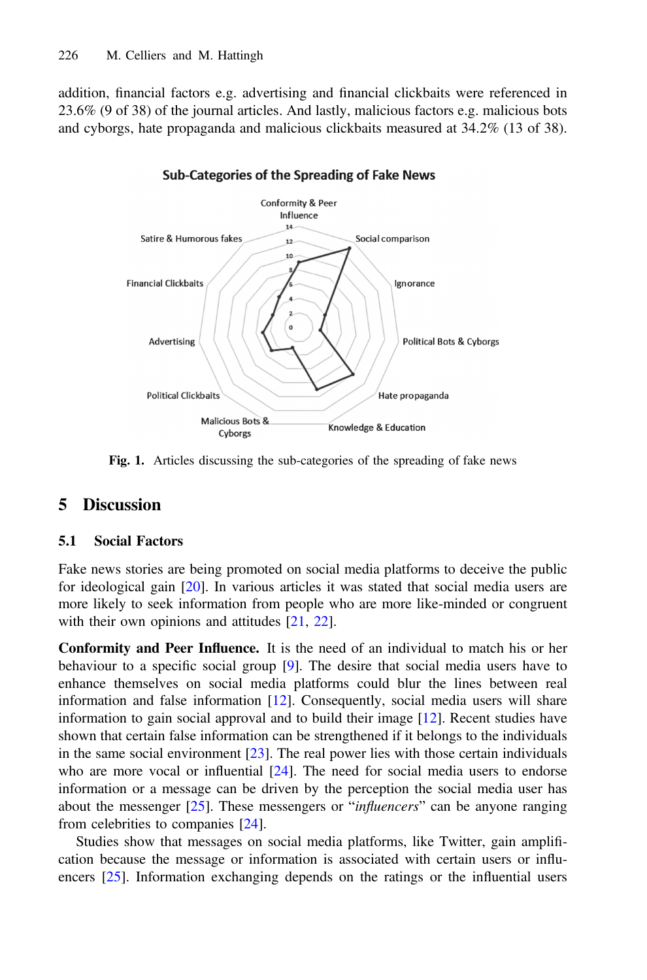<span id="page-3-0"></span>addition, financial factors e.g. advertising and financial clickbaits were referenced in 23.6% (9 of 38) of the journal articles. And lastly, malicious factors e.g. malicious bots and cyborgs, hate propaganda and malicious clickbaits measured at 34.2% (13 of 38).



### Sub-Categories of the Spreading of Fake News

Fig. 1. Articles discussing the sub-categories of the spreading of fake news

# 5 Discussion

## 5.1 Social Factors

Fake news stories are being promoted on social media platforms to deceive the public for ideological gain [\[20](#page-10-0)]. In various articles it was stated that social media users are more likely to seek information from people who are more like-minded or congruent with their own opinions and attitudes [\[21](#page-10-0), [22](#page-10-0)].

Conformity and Peer Influence. It is the need of an individual to match his or her behaviour to a specific social group [\[9](#page-10-0)]. The desire that social media users have to enhance themselves on social media platforms could blur the lines between real information and false information [\[12](#page-10-0)]. Consequently, social media users will share information to gain social approval and to build their image [\[12](#page-10-0)]. Recent studies have shown that certain false information can be strengthened if it belongs to the individuals in the same social environment  $[23]$  $[23]$ . The real power lies with those certain individuals who are more vocal or influential [\[24](#page-10-0)]. The need for social media users to endorse information or a message can be driven by the perception the social media user has about the messenger  $[25]$  $[25]$ . These messengers or "influencers" can be anyone ranging from celebrities to companies [[24\]](#page-10-0).

Studies show that messages on social media platforms, like Twitter, gain amplification because the message or information is associated with certain users or influencers [\[25](#page-10-0)]. Information exchanging depends on the ratings or the influential users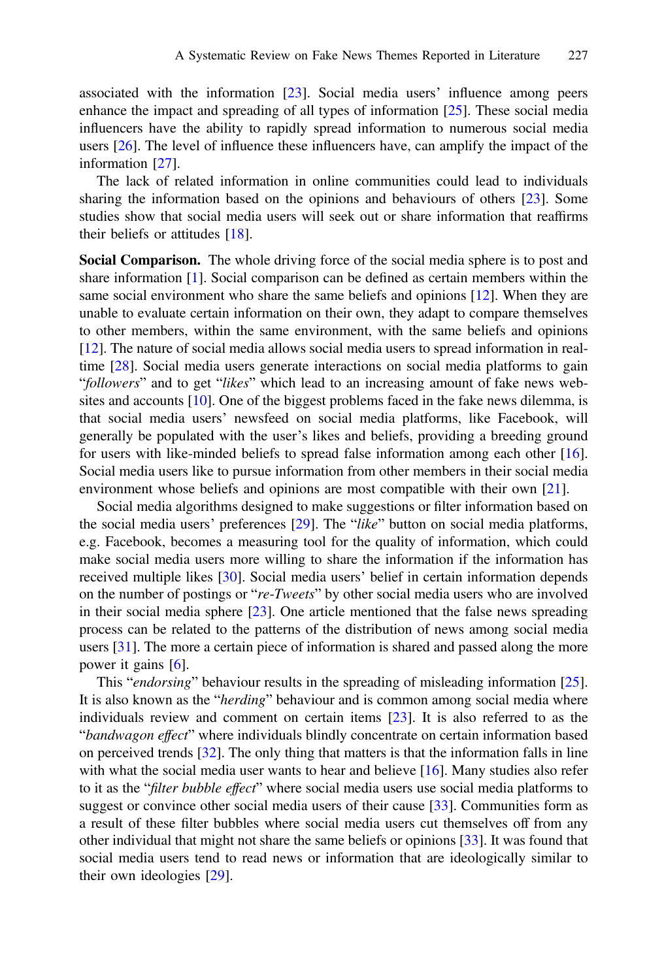associated with the information [\[23](#page-10-0)]. Social media users' influence among peers enhance the impact and spreading of all types of information [\[25](#page-10-0)]. These social media influencers have the ability to rapidly spread information to numerous social media users [\[26](#page-10-0)]. The level of influence these influencers have, can amplify the impact of the information [[27\]](#page-10-0).

The lack of related information in online communities could lead to individuals sharing the information based on the opinions and behaviours of others [\[23](#page-10-0)]. Some studies show that social media users will seek out or share information that reaffirms their beliefs or attitudes [\[18](#page-10-0)].

Social Comparison. The whole driving force of the social media sphere is to post and share information [[1\]](#page-9-0). Social comparison can be defined as certain members within the same social environment who share the same beliefs and opinions [[12\]](#page-10-0). When they are unable to evaluate certain information on their own, they adapt to compare themselves to other members, within the same environment, with the same beliefs and opinions [\[12](#page-10-0)]. The nature of social media allows social media users to spread information in realtime [[28\]](#page-10-0). Social media users generate interactions on social media platforms to gain "followers" and to get "likes" which lead to an increasing amount of fake news websites and accounts [[10\]](#page-10-0). One of the biggest problems faced in the fake news dilemma, is that social media users' newsfeed on social media platforms, like Facebook, will generally be populated with the user's likes and beliefs, providing a breeding ground for users with like-minded beliefs to spread false information among each other [[16\]](#page-10-0). Social media users like to pursue information from other members in their social media environment whose beliefs and opinions are most compatible with their own [[21\]](#page-10-0).

Social media algorithms designed to make suggestions or filter information based on the social media users' preferences [[29\]](#page-10-0). The "like" button on social media platforms, e.g. Facebook, becomes a measuring tool for the quality of information, which could make social media users more willing to share the information if the information has received multiple likes [\[30](#page-10-0)]. Social media users' belief in certain information depends on the number of postings or "re-Tweets" by other social media users who are involved in their social media sphere [[23\]](#page-10-0). One article mentioned that the false news spreading process can be related to the patterns of the distribution of news among social media users [[31\]](#page-11-0). The more a certain piece of information is shared and passed along the more power it gains [\[6](#page-9-0)].

This "*endorsing*" behaviour results in the spreading of misleading information [[25\]](#page-10-0). It is also known as the "herding" behaviour and is common among social media where individuals review and comment on certain items [[23\]](#page-10-0). It is also referred to as the "bandwagon effect" where individuals blindly concentrate on certain information based on perceived trends [\[32](#page-11-0)]. The only thing that matters is that the information falls in line with what the social media user wants to hear and believe [[16\]](#page-10-0). Many studies also refer to it as the "*filter bubble effect*" where social media users use social media platforms to suggest or convince other social media users of their cause [[33\]](#page-11-0). Communities form as a result of these filter bubbles where social media users cut themselves off from any other individual that might not share the same beliefs or opinions [\[33](#page-11-0)]. It was found that social media users tend to read news or information that are ideologically similar to their own ideologies [[29\]](#page-10-0).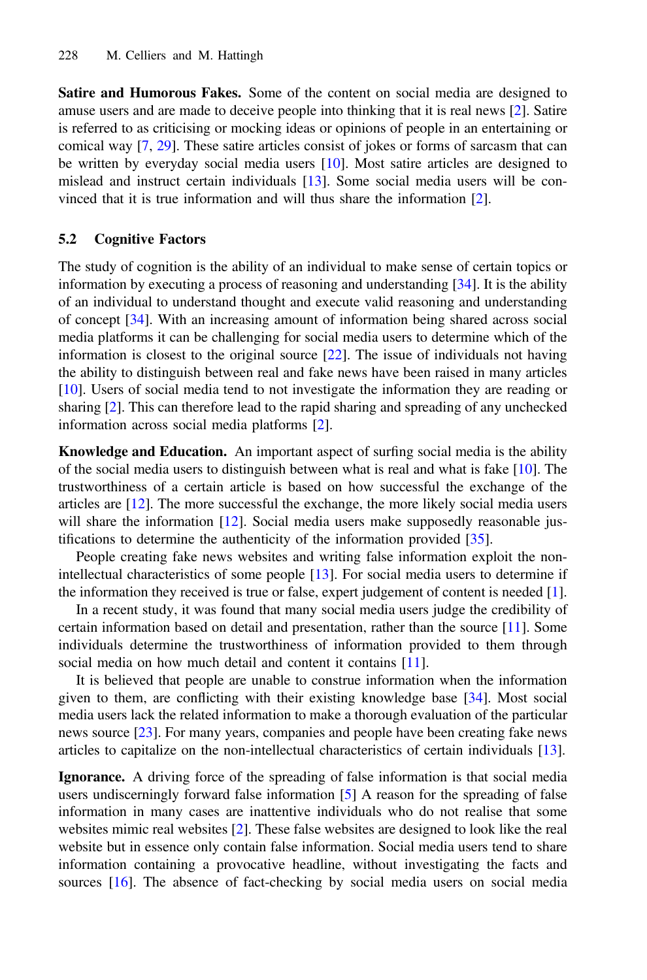Satire and Humorous Fakes. Some of the content on social media are designed to amuse users and are made to deceive people into thinking that it is real news [\[2](#page-9-0)]. Satire is referred to as criticising or mocking ideas or opinions of people in an entertaining or comical way [\[7](#page-9-0), [29\]](#page-10-0). These satire articles consist of jokes or forms of sarcasm that can be written by everyday social media users [\[10](#page-10-0)]. Most satire articles are designed to mislead and instruct certain individuals [[13\]](#page-10-0). Some social media users will be convinced that it is true information and will thus share the information [\[2](#page-9-0)].

### 5.2 Cognitive Factors

The study of cognition is the ability of an individual to make sense of certain topics or information by executing a process of reasoning and understanding [[34\]](#page-11-0). It is the ability of an individual to understand thought and execute valid reasoning and understanding of concept [\[34](#page-11-0)]. With an increasing amount of information being shared across social media platforms it can be challenging for social media users to determine which of the information is closest to the original source [[22\]](#page-10-0). The issue of individuals not having the ability to distinguish between real and fake news have been raised in many articles [[10\]](#page-10-0). Users of social media tend to not investigate the information they are reading or sharing [\[2](#page-9-0)]. This can therefore lead to the rapid sharing and spreading of any unchecked information across social media platforms [[2\]](#page-9-0).

Knowledge and Education. An important aspect of surfing social media is the ability of the social media users to distinguish between what is real and what is fake [[10\]](#page-10-0). The trustworthiness of a certain article is based on how successful the exchange of the articles are [[12\]](#page-10-0). The more successful the exchange, the more likely social media users will share the information [\[12](#page-10-0)]. Social media users make supposedly reasonable justifications to determine the authenticity of the information provided [[35](#page-11-0)].

People creating fake news websites and writing false information exploit the nonintellectual characteristics of some people [[13\]](#page-10-0). For social media users to determine if the information they received is true or false, expert judgement of content is needed [[1\]](#page-9-0).

In a recent study, it was found that many social media users judge the credibility of certain information based on detail and presentation, rather than the source [\[11](#page-10-0)]. Some individuals determine the trustworthiness of information provided to them through social media on how much detail and content it contains [\[11](#page-10-0)].

It is believed that people are unable to construe information when the information given to them, are conflicting with their existing knowledge base [\[34](#page-11-0)]. Most social media users lack the related information to make a thorough evaluation of the particular news source [\[23\]](#page-10-0). For many years, companies and people have been creating fake news articles to capitalize on the non-intellectual characteristics of certain individuals [[13\]](#page-10-0).

Ignorance. A driving force of the spreading of false information is that social media users undiscerningly forward false information [\[5](#page-9-0)] A reason for the spreading of false information in many cases are inattentive individuals who do not realise that some websites mimic real websites [\[2](#page-9-0)]. These false websites are designed to look like the real website but in essence only contain false information. Social media users tend to share information containing a provocative headline, without investigating the facts and sources [\[16](#page-10-0)]. The absence of fact-checking by social media users on social media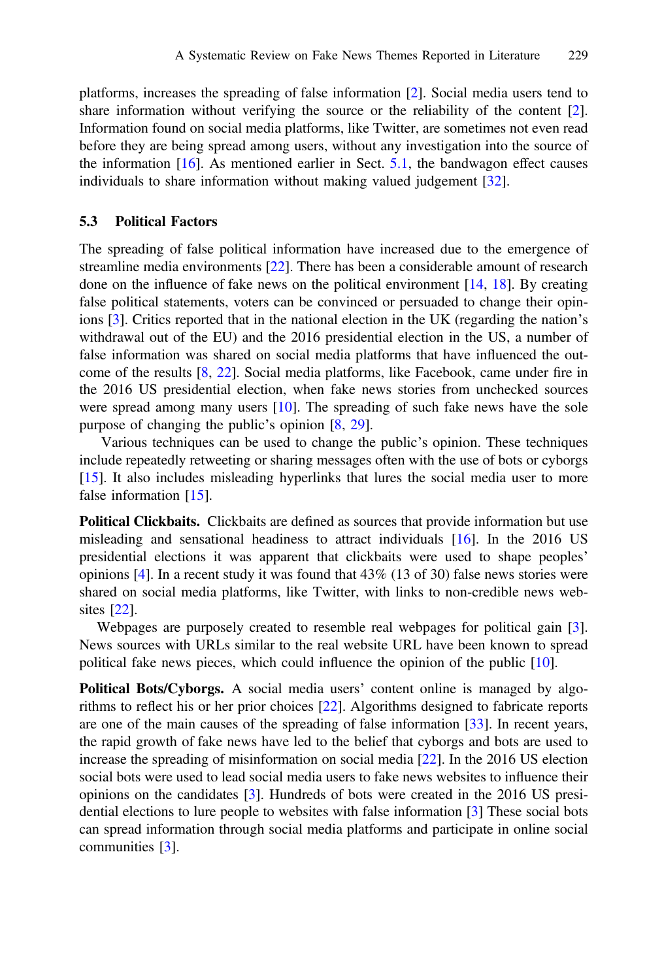platforms, increases the spreading of false information [\[2](#page-9-0)]. Social media users tend to share information without verifying the source or the reliability of the content [[2\]](#page-9-0). Information found on social media platforms, like Twitter, are sometimes not even read before they are being spread among users, without any investigation into the source of the information  $[16]$  $[16]$ . As mentioned earlier in Sect. [5.1](#page-3-0), the bandwagon effect causes individuals to share information without making valued judgement [[32\]](#page-11-0).

### 5.3 Political Factors

The spreading of false political information have increased due to the emergence of streamline media environments [[22\]](#page-10-0). There has been a considerable amount of research done on the influence of fake news on the political environment [[14,](#page-10-0) [18](#page-10-0)]. By creating false political statements, voters can be convinced or persuaded to change their opinions [\[3](#page-9-0)]. Critics reported that in the national election in the UK (regarding the nation's withdrawal out of the EU) and the 2016 presidential election in the US, a number of false information was shared on social media platforms that have influenced the outcome of the results [[8,](#page-9-0) [22](#page-10-0)]. Social media platforms, like Facebook, came under fire in the 2016 US presidential election, when fake news stories from unchecked sources were spread among many users  $[10]$  $[10]$ . The spreading of such fake news have the sole purpose of changing the public's opinion [\[8](#page-9-0), [29](#page-10-0)].

Various techniques can be used to change the public's opinion. These techniques include repeatedly retweeting or sharing messages often with the use of bots or cyborgs [\[15](#page-10-0)]. It also includes misleading hyperlinks that lures the social media user to more false information [[15\]](#page-10-0).

Political Clickbaits. Clickbaits are defined as sources that provide information but use misleading and sensational headiness to attract individuals [\[16](#page-10-0)]. In the 2016 US presidential elections it was apparent that clickbaits were used to shape peoples' opinions [[4\]](#page-9-0). In a recent study it was found that 43% (13 of 30) false news stories were shared on social media platforms, like Twitter, with links to non-credible news websites [[22\]](#page-10-0).

Webpages are purposely created to resemble real webpages for political gain [[3\]](#page-9-0). News sources with URLs similar to the real website URL have been known to spread political fake news pieces, which could influence the opinion of the public [[10\]](#page-10-0).

Political Bots/Cyborgs. A social media users' content online is managed by algorithms to reflect his or her prior choices [\[22](#page-10-0)]. Algorithms designed to fabricate reports are one of the main causes of the spreading of false information [[33\]](#page-11-0). In recent years, the rapid growth of fake news have led to the belief that cyborgs and bots are used to increase the spreading of misinformation on social media [[22\]](#page-10-0). In the 2016 US election social bots were used to lead social media users to fake news websites to influence their opinions on the candidates [[3\]](#page-9-0). Hundreds of bots were created in the 2016 US presidential elections to lure people to websites with false information [\[3](#page-9-0)] These social bots can spread information through social media platforms and participate in online social communities [\[3](#page-9-0)].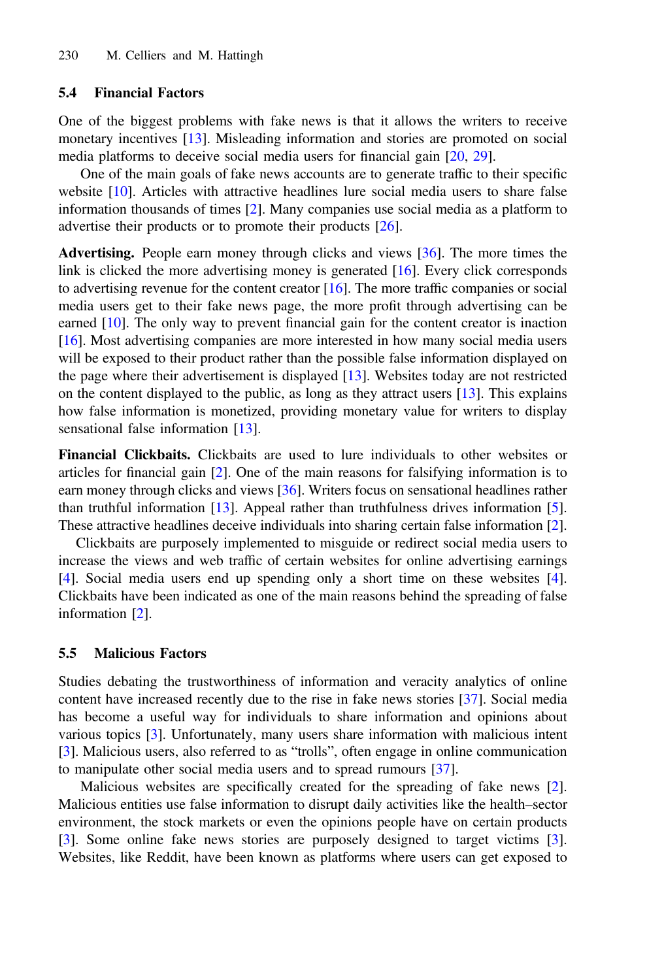## 5.4 Financial Factors

One of the biggest problems with fake news is that it allows the writers to receive monetary incentives [\[13](#page-10-0)]. Misleading information and stories are promoted on social media platforms to deceive social media users for financial gain [[20,](#page-10-0) [29](#page-10-0)].

One of the main goals of fake news accounts are to generate traffic to their specific website [[10\]](#page-10-0). Articles with attractive headlines lure social media users to share false information thousands of times [[2\]](#page-9-0). Many companies use social media as a platform to advertise their products or to promote their products [\[26](#page-10-0)].

Advertising. People earn money through clicks and views [[36\]](#page-11-0). The more times the link is clicked the more advertising money is generated [[16\]](#page-10-0). Every click corresponds to advertising revenue for the content creator  $[16]$  $[16]$ . The more traffic companies or social media users get to their fake news page, the more profit through advertising can be earned [\[10](#page-10-0)]. The only way to prevent financial gain for the content creator is inaction [[16\]](#page-10-0). Most advertising companies are more interested in how many social media users will be exposed to their product rather than the possible false information displayed on the page where their advertisement is displayed [[13\]](#page-10-0). Websites today are not restricted on the content displayed to the public, as long as they attract users [\[13](#page-10-0)]. This explains how false information is monetized, providing monetary value for writers to display sensational false information [[13\]](#page-10-0).

Financial Clickbaits. Clickbaits are used to lure individuals to other websites or articles for financial gain [\[2](#page-9-0)]. One of the main reasons for falsifying information is to earn money through clicks and views [[36\]](#page-11-0). Writers focus on sensational headlines rather than truthful information [\[13](#page-10-0)]. Appeal rather than truthfulness drives information [[5\]](#page-9-0). These attractive headlines deceive individuals into sharing certain false information [[2\]](#page-9-0).

Clickbaits are purposely implemented to misguide or redirect social media users to increase the views and web traffic of certain websites for online advertising earnings [[4\]](#page-9-0). Social media users end up spending only a short time on these websites [[4\]](#page-9-0). Clickbaits have been indicated as one of the main reasons behind the spreading of false information [[2\]](#page-9-0).

#### 5.5 Malicious Factors

Studies debating the trustworthiness of information and veracity analytics of online content have increased recently due to the rise in fake news stories [[37\]](#page-11-0). Social media has become a useful way for individuals to share information and opinions about various topics [\[3](#page-9-0)]. Unfortunately, many users share information with malicious intent [[3\]](#page-9-0). Malicious users, also referred to as "trolls", often engage in online communication to manipulate other social media users and to spread rumours [\[37](#page-11-0)].

Malicious websites are specifically created for the spreading of fake news [[2\]](#page-9-0). Malicious entities use false information to disrupt daily activities like the health–sector environment, the stock markets or even the opinions people have on certain products [[3\]](#page-9-0). Some online fake news stories are purposely designed to target victims [[3\]](#page-9-0). Websites, like Reddit, have been known as platforms where users can get exposed to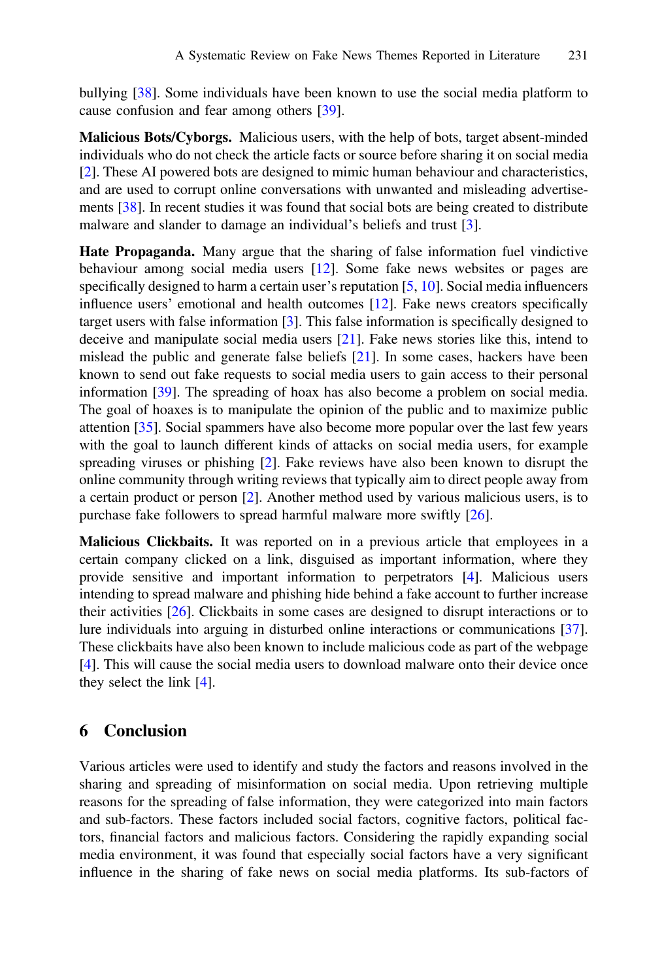bullying [\[38](#page-11-0)]. Some individuals have been known to use the social media platform to cause confusion and fear among others [[39\]](#page-11-0).

Malicious Bots/Cyborgs. Malicious users, with the help of bots, target absent-minded individuals who do not check the article facts or source before sharing it on social media [\[2](#page-9-0)]. These AI powered bots are designed to mimic human behaviour and characteristics, and are used to corrupt online conversations with unwanted and misleading advertisements [\[38](#page-11-0)]. In recent studies it was found that social bots are being created to distribute malware and slander to damage an individual's beliefs and trust [[3\]](#page-9-0).

Hate Propaganda. Many argue that the sharing of false information fuel vindictive behaviour among social media users [[12\]](#page-10-0). Some fake news websites or pages are specifically designed to harm a certain user's reputation [\[5](#page-9-0), [10\]](#page-10-0). Social media influencers influence users' emotional and health outcomes [\[12](#page-10-0)]. Fake news creators specifically target users with false information [[3\]](#page-9-0). This false information is specifically designed to deceive and manipulate social media users [\[21](#page-10-0)]. Fake news stories like this, intend to mislead the public and generate false beliefs [\[21](#page-10-0)]. In some cases, hackers have been known to send out fake requests to social media users to gain access to their personal information [[39\]](#page-11-0). The spreading of hoax has also become a problem on social media. The goal of hoaxes is to manipulate the opinion of the public and to maximize public attention [\[35](#page-11-0)]. Social spammers have also become more popular over the last few years with the goal to launch different kinds of attacks on social media users, for example spreading viruses or phishing [[2\]](#page-9-0). Fake reviews have also been known to disrupt the online community through writing reviews that typically aim to direct people away from a certain product or person [[2\]](#page-9-0). Another method used by various malicious users, is to purchase fake followers to spread harmful malware more swiftly [\[26](#page-10-0)].

Malicious Clickbaits. It was reported on in a previous article that employees in a certain company clicked on a link, disguised as important information, where they provide sensitive and important information to perpetrators [\[4](#page-9-0)]. Malicious users intending to spread malware and phishing hide behind a fake account to further increase their activities [[26\]](#page-10-0). Clickbaits in some cases are designed to disrupt interactions or to lure individuals into arguing in disturbed online interactions or communications [[37\]](#page-11-0). These clickbaits have also been known to include malicious code as part of the webpage [\[4](#page-9-0)]. This will cause the social media users to download malware onto their device once they select the link [[4\]](#page-9-0).

# 6 Conclusion

Various articles were used to identify and study the factors and reasons involved in the sharing and spreading of misinformation on social media. Upon retrieving multiple reasons for the spreading of false information, they were categorized into main factors and sub-factors. These factors included social factors, cognitive factors, political factors, financial factors and malicious factors. Considering the rapidly expanding social media environment, it was found that especially social factors have a very significant influence in the sharing of fake news on social media platforms. Its sub-factors of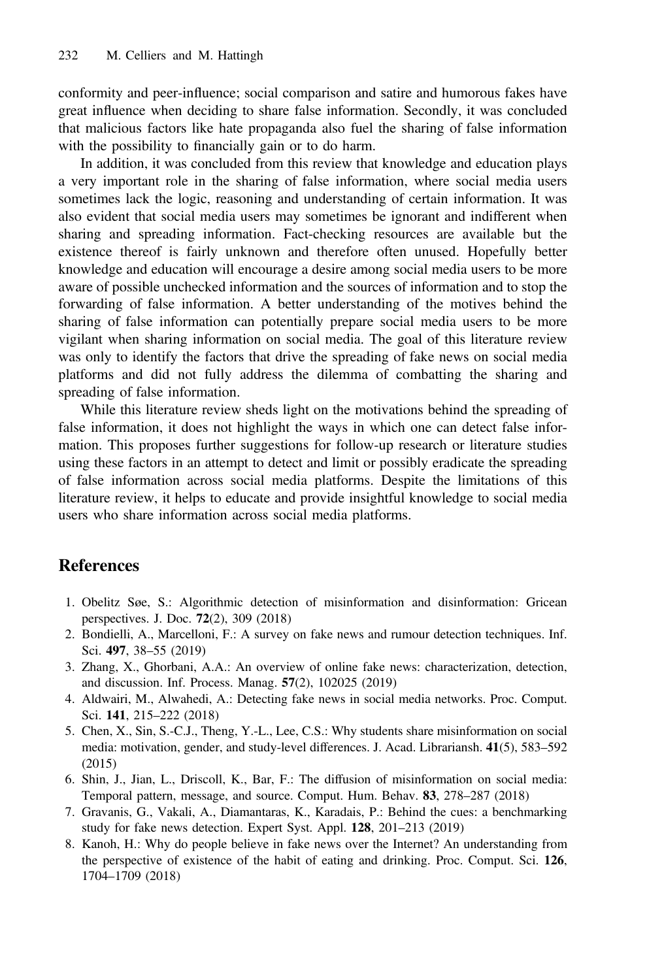<span id="page-9-0"></span>conformity and peer-influence; social comparison and satire and humorous fakes have great influence when deciding to share false information. Secondly, it was concluded that malicious factors like hate propaganda also fuel the sharing of false information with the possibility to financially gain or to do harm.

In addition, it was concluded from this review that knowledge and education plays a very important role in the sharing of false information, where social media users sometimes lack the logic, reasoning and understanding of certain information. It was also evident that social media users may sometimes be ignorant and indifferent when sharing and spreading information. Fact-checking resources are available but the existence thereof is fairly unknown and therefore often unused. Hopefully better knowledge and education will encourage a desire among social media users to be more aware of possible unchecked information and the sources of information and to stop the forwarding of false information. A better understanding of the motives behind the sharing of false information can potentially prepare social media users to be more vigilant when sharing information on social media. The goal of this literature review was only to identify the factors that drive the spreading of fake news on social media platforms and did not fully address the dilemma of combatting the sharing and spreading of false information.

While this literature review sheds light on the motivations behind the spreading of false information, it does not highlight the ways in which one can detect false information. This proposes further suggestions for follow-up research or literature studies using these factors in an attempt to detect and limit or possibly eradicate the spreading of false information across social media platforms. Despite the limitations of this literature review, it helps to educate and provide insightful knowledge to social media users who share information across social media platforms.

# References

- 1. Obelitz Søe, S.: Algorithmic detection of misinformation and disinformation: Gricean perspectives. J. Doc. 72(2), 309 (2018)
- 2. Bondielli, A., Marcelloni, F.: A survey on fake news and rumour detection techniques. Inf. Sci. 497, 38–55 (2019)
- 3. Zhang, X., Ghorbani, A.A.: An overview of online fake news: characterization, detection, and discussion. Inf. Process. Manag. 57(2), 102025 (2019)
- 4. Aldwairi, M., Alwahedi, A.: Detecting fake news in social media networks. Proc. Comput. Sci. 141, 215–222 (2018)
- 5. Chen, X., Sin, S.-C.J., Theng, Y.-L., Lee, C.S.: Why students share misinformation on social media: motivation, gender, and study-level differences. J. Acad. Librariansh. 41(5), 583–592 (2015)
- 6. Shin, J., Jian, L., Driscoll, K., Bar, F.: The diffusion of misinformation on social media: Temporal pattern, message, and source. Comput. Hum. Behav. 83, 278–287 (2018)
- 7. Gravanis, G., Vakali, A., Diamantaras, K., Karadais, P.: Behind the cues: a benchmarking study for fake news detection. Expert Syst. Appl. 128, 201–213 (2019)
- 8. Kanoh, H.: Why do people believe in fake news over the Internet? An understanding from the perspective of existence of the habit of eating and drinking. Proc. Comput. Sci. 126, 1704–1709 (2018)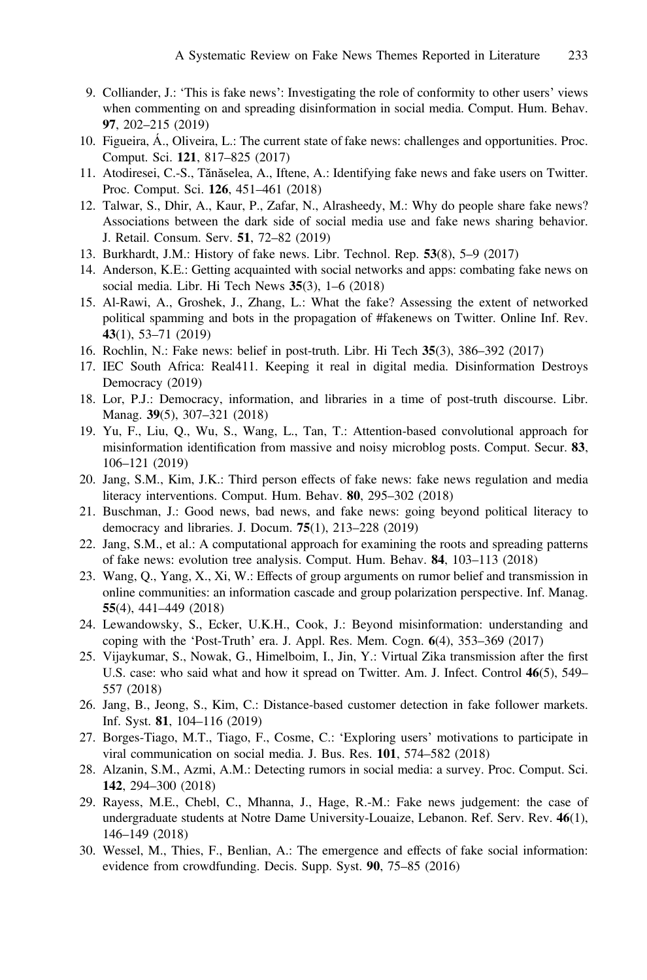- <span id="page-10-0"></span>9. Colliander, J.: 'This is fake news': Investigating the role of conformity to other users' views when commenting on and spreading disinformation in social media. Comput. Hum. Behav. 97, 202–215 (2019)
- 10. Figueira, Á., Oliveira, L.: The current state of fake news: challenges and opportunities. Proc. Comput. Sci. 121, 817–825 (2017)
- 11. Atodiresei, C.-S., Tănăselea, A., Iftene, A.: Identifying fake news and fake users on Twitter. Proc. Comput. Sci. 126, 451–461 (2018)
- 12. Talwar, S., Dhir, A., Kaur, P., Zafar, N., Alrasheedy, M.: Why do people share fake news? Associations between the dark side of social media use and fake news sharing behavior. J. Retail. Consum. Serv. 51, 72–82 (2019)
- 13. Burkhardt, J.M.: History of fake news. Libr. Technol. Rep. 53(8), 5–9 (2017)
- 14. Anderson, K.E.: Getting acquainted with social networks and apps: combating fake news on social media. Libr. Hi Tech News 35(3), 1–6 (2018)
- 15. Al-Rawi, A., Groshek, J., Zhang, L.: What the fake? Assessing the extent of networked political spamming and bots in the propagation of #fakenews on Twitter. Online Inf. Rev. 43(1), 53–71 (2019)
- 16. Rochlin, N.: Fake news: belief in post-truth. Libr. Hi Tech 35(3), 386–392 (2017)
- 17. IEC South Africa: Real411. Keeping it real in digital media. Disinformation Destroys Democracy (2019)
- 18. Lor, P.J.: Democracy, information, and libraries in a time of post-truth discourse. Libr. Manag. 39(5), 307–321 (2018)
- 19. Yu, F., Liu, Q., Wu, S., Wang, L., Tan, T.: Attention-based convolutional approach for misinformation identification from massive and noisy microblog posts. Comput. Secur. 83, 106–121 (2019)
- 20. Jang, S.M., Kim, J.K.: Third person effects of fake news: fake news regulation and media literacy interventions. Comput. Hum. Behav. 80, 295–302 (2018)
- 21. Buschman, J.: Good news, bad news, and fake news: going beyond political literacy to democracy and libraries. J. Docum. 75(1), 213–228 (2019)
- 22. Jang, S.M., et al.: A computational approach for examining the roots and spreading patterns of fake news: evolution tree analysis. Comput. Hum. Behav. 84, 103–113 (2018)
- 23. Wang, Q., Yang, X., Xi, W.: Effects of group arguments on rumor belief and transmission in online communities: an information cascade and group polarization perspective. Inf. Manag. 55(4), 441–449 (2018)
- 24. Lewandowsky, S., Ecker, U.K.H., Cook, J.: Beyond misinformation: understanding and coping with the 'Post-Truth' era. J. Appl. Res. Mem. Cogn. 6(4), 353–369 (2017)
- 25. Vijaykumar, S., Nowak, G., Himelboim, I., Jin, Y.: Virtual Zika transmission after the first U.S. case: who said what and how it spread on Twitter. Am. J. Infect. Control 46(5), 549– 557 (2018)
- 26. Jang, B., Jeong, S., Kim, C.: Distance-based customer detection in fake follower markets. Inf. Syst. 81, 104–116 (2019)
- 27. Borges-Tiago, M.T., Tiago, F., Cosme, C.: 'Exploring users' motivations to participate in viral communication on social media. J. Bus. Res. 101, 574–582 (2018)
- 28. Alzanin, S.M., Azmi, A.M.: Detecting rumors in social media: a survey. Proc. Comput. Sci. 142, 294–300 (2018)
- 29. Rayess, M.E., Chebl, C., Mhanna, J., Hage, R.-M.: Fake news judgement: the case of undergraduate students at Notre Dame University-Louaize, Lebanon. Ref. Serv. Rev. 46(1), 146–149 (2018)
- 30. Wessel, M., Thies, F., Benlian, A.: The emergence and effects of fake social information: evidence from crowdfunding. Decis. Supp. Syst. 90, 75–85 (2016)